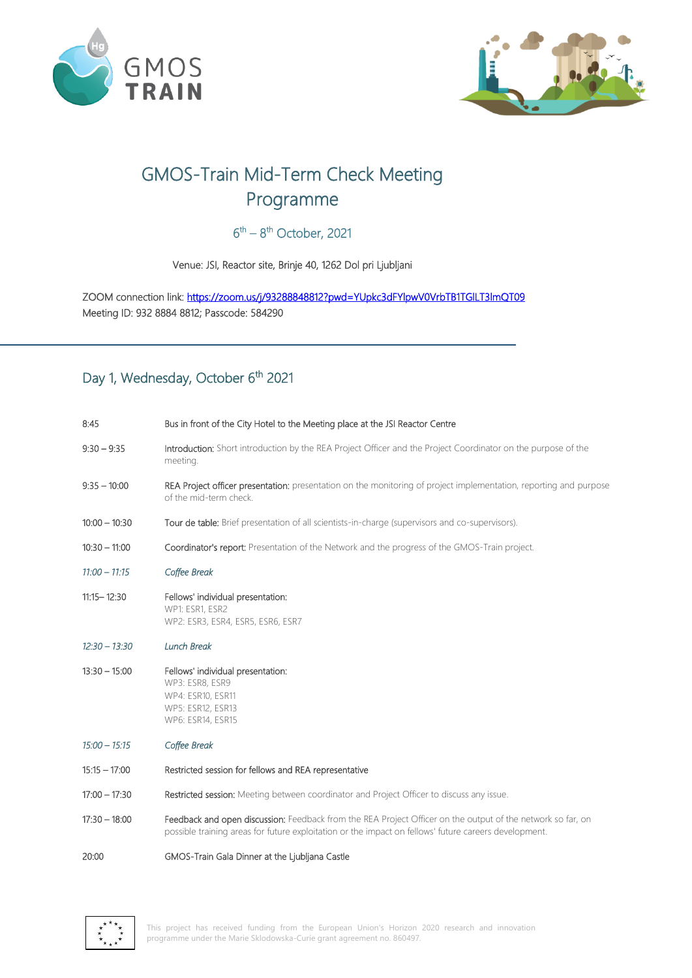

 $\overline{a}$ 



# GMOS-Train Mid-Term Check Meeting Programme

#### $6<sup>th</sup> - 8<sup>th</sup>$  October, 2021

Venue: JSI, Reactor site, Brinje 40, 1262 Dol pri Ljubljani

ZOOM connection link:<https://zoom.us/j/93288848812?pwd=YUpkc3dFYlpwV0VrbTB1TGlLT3lmQT09> Meeting ID: 932 8884 8812; Passcode: 584290

### Day 1, Wednesday, October 6<sup>th</sup> 2021

| 8:45            | Bus in front of the City Hotel to the Meeting place at the JSI Reactor Centre                                                                                                                                        |
|-----------------|----------------------------------------------------------------------------------------------------------------------------------------------------------------------------------------------------------------------|
| $9:30 - 9:35$   | Introduction: Short introduction by the REA Project Officer and the Project Coordinator on the purpose of the<br>meeting.                                                                                            |
| $9:35 - 10:00$  | REA Project officer presentation: presentation on the monitoring of project implementation, reporting and purpose<br>of the mid-term check.                                                                          |
| $10:00 - 10:30$ | Tour de table: Brief presentation of all scientists-in-charge (supervisors and co-supervisors).                                                                                                                      |
| $10:30 - 11:00$ | Coordinator's report: Presentation of the Network and the progress of the GMOS-Train project.                                                                                                                        |
| $11:00 - 11:15$ | Coffee Break                                                                                                                                                                                                         |
| $11:15 - 12:30$ | Fellows' individual presentation:<br>WP1: ESR1, ESR2<br>WP2: ESR3, ESR4, ESR5, ESR6, ESR7                                                                                                                            |
| $12:30 - 13:30$ | <b>Lunch Break</b>                                                                                                                                                                                                   |
| $13:30 - 15:00$ | Fellows' individual presentation:<br>WP3: ESR8, ESR9<br>WP4: ESR10, ESR11<br>WP5: ESR12, ESR13<br>WP6: ESR14, ESR15                                                                                                  |
| $15:00 - 15:15$ | Coffee Break                                                                                                                                                                                                         |
| $15:15 - 17:00$ | Restricted session for fellows and REA representative                                                                                                                                                                |
| $17:00 - 17:30$ | Restricted session: Meeting between coordinator and Project Officer to discuss any issue.                                                                                                                            |
| $17:30 - 18:00$ | Feedback and open discussion: Feedback from the REA Project Officer on the output of the network so far, on<br>possible training areas for future exploitation or the impact on fellows' future careers development. |
| 20:00           | GMOS-Train Gala Dinner at the Ljubljana Castle                                                                                                                                                                       |